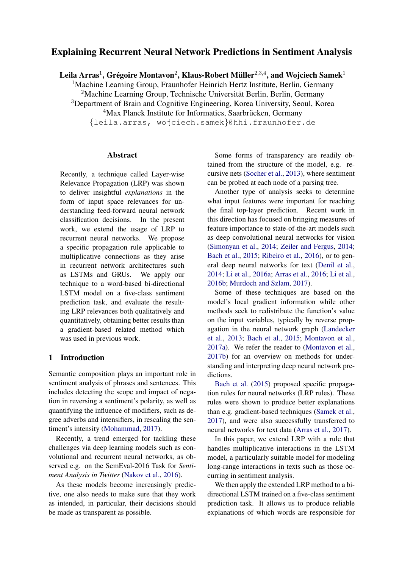# Explaining Recurrent Neural Network Predictions in Sentiment Analysis

Leila Arras $^1$ , Grégoire Montavon $^2$ , Klaus-Robert Müller $^{2,3,4}$ , and Wojciech Samek $^1$ 

<sup>1</sup>Machine Learning Group, Fraunhofer Heinrich Hertz Institute, Berlin, Germany <sup>2</sup>Machine Learning Group, Technische Universität Berlin, Berlin, Germany <sup>3</sup>Department of Brain and Cognitive Engineering, Korea University, Seoul, Korea  $4$ Max Planck Institute for Informatics, Saarbrücken, Germany {leila.arras, wojciech.samek}@hhi.fraunhofer.de

## Abstract

Recently, a technique called Layer-wise Relevance Propagation (LRP) was shown to deliver insightful *explanations* in the form of input space relevances for understanding feed-forward neural network classification decisions. In the present work, we extend the usage of LRP to recurrent neural networks. We propose a specific propagation rule applicable to multiplicative connections as they arise in recurrent network architectures such as LSTMs and GRUs. We apply our technique to a word-based bi-directional LSTM model on a five-class sentiment prediction task, and evaluate the resulting LRP relevances both qualitatively and quantitatively, obtaining better results than a gradient-based related method which was used in previous work.

# 1 Introduction

Semantic composition plays an important role in sentiment analysis of phrases and sentences. This includes detecting the scope and impact of negation in reversing a sentiment's polarity, as well as quantifying the influence of modifiers, such as degree adverbs and intensifiers, in rescaling the sentiment's intensity [\(Mohammad,](#page-8-0) [2017\)](#page-8-0).

Recently, a trend emerged for tackling these challenges via deep learning models such as convolutional and recurrent neural networks, as observed e.g. on the SemEval-2016 Task for *Sentiment Analysis in Twitter* [\(Nakov et al.,](#page-8-1) [2016\)](#page-8-1).

As these models become increasingly predictive, one also needs to make sure that they work as intended, in particular, their decisions should be made as transparent as possible.

Some forms of transparency are readily obtained from the structure of the model, e.g. recursive nets [\(Socher et al.,](#page-8-2) [2013\)](#page-8-2), where sentiment can be probed at each node of a parsing tree.

Another type of analysis seeks to determine what input features were important for reaching the final top-layer prediction. Recent work in this direction has focused on bringing measures of feature importance to state-of-the-art models such as deep convolutional neural networks for vision [\(Simonyan et al.,](#page-8-3) [2014;](#page-8-3) [Zeiler and Fergus,](#page-8-4) [2014;](#page-8-4) [Bach et al.,](#page-7-0) [2015;](#page-7-0) [Ribeiro et al.,](#page-8-5) [2016\)](#page-8-5), or to general deep neural networks for text [\(Denil et al.,](#page-7-1) [2014;](#page-7-1) [Li et al.,](#page-8-6) [2016a;](#page-8-6) [Arras et al.,](#page-7-2) [2016;](#page-7-2) [Li et al.,](#page-8-7) [2016b;](#page-8-7) [Murdoch and Szlam,](#page-8-8) [2017\)](#page-8-8).

Some of these techniques are based on the model's local gradient information while other methods seek to redistribute the function's value on the input variables, typically by reverse propagation in the neural network graph [\(Landecker](#page-7-3) [et al.,](#page-7-3) [2013;](#page-7-3) [Bach et al.,](#page-7-0) [2015;](#page-7-0) [Montavon et al.,](#page-8-9) [2017a\)](#page-8-9). We refer the reader to [\(Montavon et al.,](#page-8-10) [2017b\)](#page-8-10) for an overview on methods for understanding and interpreting deep neural network predictions.

[Bach et al.](#page-7-0) [\(2015\)](#page-7-0) proposed specific propagation rules for neural networks (LRP rules). These rules were shown to produce better explanations than e.g. gradient-based techniques [\(Samek et al.,](#page-8-11) [2017\)](#page-8-11), and were also successfully transferred to neural networks for text data [\(Arras et al.,](#page-7-4) [2017\)](#page-7-4).

In this paper, we extend LRP with a rule that handles multiplicative interactions in the LSTM model, a particularly suitable model for modeling long-range interactions in texts such as those occurring in sentiment analysis.

We then apply the extended LRP method to a bidirectional LSTM trained on a five-class sentiment prediction task. It allows us to produce reliable explanations of which words are responsible for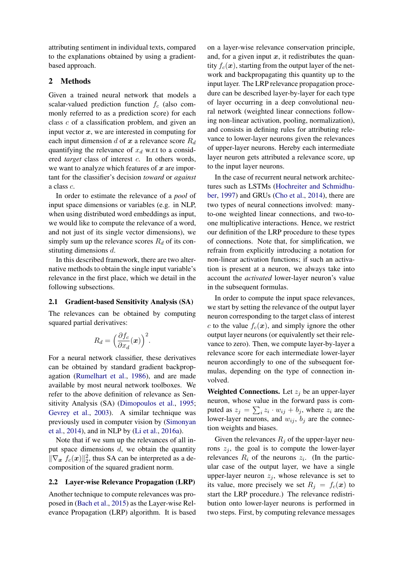attributing sentiment in individual texts, compared to the explanations obtained by using a gradientbased approach.

## 2 Methods

Given a trained neural network that models a scalar-valued prediction function  $f_c$  (also commonly referred to as a prediction score) for each class c of a classification problem, and given an input vector  $x$ , we are interested in computing for each input dimension  $d$  of  $x$  a relevance score  $R_d$ quantifying the relevance of  $x_d$  w.r.t to a considered *target* class of interest c. In others words, we want to analyze which features of  $x$  are important for the classifier's decision *toward* or *against* a class c.

In order to estimate the relevance of a *pool* of input space dimensions or variables (e.g. in NLP, when using distributed word embeddings as input, we would like to compute the relevance of a word, and not just of its single vector dimensions), we simply sum up the relevance scores  $R_d$  of its constituting dimensions d.

In this described framework, there are two alternative methods to obtain the single input variable's relevance in the first place, which we detail in the following subsections.

#### 2.1 Gradient-based Sensitivity Analysis (SA)

The relevances can be obtained by computing squared partial derivatives:

$$
R_d = \left(\frac{\partial f_c}{\partial x_d}(\boldsymbol{x})\right)^2.
$$

For a neural network classifier, these derivatives can be obtained by standard gradient backpropagation [\(Rumelhart et al.,](#page-8-12) [1986\)](#page-8-12), and are made available by most neural network toolboxes. We refer to the above definition of relevance as Sensitivity Analysis (SA) [\(Dimopoulos et al.,](#page-7-5) [1995;](#page-7-5) [Gevrey et al.,](#page-7-6) [2003\)](#page-7-6). A similar technique was previously used in computer vision by [\(Simonyan](#page-8-3) [et al.,](#page-8-3) [2014\)](#page-8-3), and in NLP by [\(Li et al.,](#page-8-6) [2016a\)](#page-8-6).

Note that if we sum up the relevances of all input space dimensions  $d$ , we obtain the quantity  $\|\nabla_x f_c(x)\|_2^2$ , thus SA can be interpreted as a decomposition of the squared gradient norm.

#### 2.2 Layer-wise Relevance Propagation (LRP)

Another technique to compute relevances was proposed in [\(Bach et al.,](#page-7-0) [2015\)](#page-7-0) as the Layer-wise Relevance Propagation (LRP) algorithm. It is based

on a layer-wise relevance conservation principle, and, for a given input  $x$ , it redistributes the quantity  $f_c(x)$ , starting from the output layer of the network and backpropagating this quantity up to the input layer. The LRP relevance propagation procedure can be described layer-by-layer for each type of layer occurring in a deep convolutional neural network (weighted linear connections following non-linear activation, pooling, normalization), and consists in defining rules for attributing relevance to lower-layer neurons given the relevances of upper-layer neurons. Hereby each intermediate layer neuron gets attributed a relevance score, up to the input layer neurons.

In the case of recurrent neural network architectures such as LSTMs [\(Hochreiter and Schmidhu](#page-7-7)[ber,](#page-7-7) [1997\)](#page-7-7) and GRUs [\(Cho et al.,](#page-7-8) [2014\)](#page-7-8), there are two types of neural connections involved: manyto-one weighted linear connections, and two-toone multiplicative interactions. Hence, we restrict our definition of the LRP procedure to these types of connections. Note that, for simplification, we refrain from explicitly introducing a notation for non-linear activation functions; if such an activation is present at a neuron, we always take into account the *activated* lower-layer neuron's value in the subsequent formulas.

In order to compute the input space relevances, we start by setting the relevance of the output layer neuron corresponding to the target class of interest c to the value  $f_c(\mathbf{x})$ , and simply ignore the other output layer neurons (or equivalently set their relevance to zero). Then, we compute layer-by-layer a relevance score for each intermediate lower-layer neuron accordingly to one of the subsequent formulas, depending on the type of connection involved.

Weighted Connections. Let  $z_i$  be an upper-layer neuron, whose value in the forward pass is computed as  $z_j = \sum_i z_i \cdot w_{ij} + b_j$ , where  $z_i$  are the lower-layer neurons, and  $w_{ij}$ ,  $b_j$  are the connection weights and biases.

Given the relevances  $R_i$  of the upper-layer neurons  $z_i$ , the goal is to compute the lower-layer relevances  $R_i$  of the neurons  $z_i$ . (In the particular case of the output layer, we have a single upper-layer neuron  $z_i$ , whose relevance is set to its value, more precisely we set  $R_i = f_c(x)$  to start the LRP procedure.) The relevance redistribution onto lower-layer neurons is performed in two steps. First, by computing relevance messages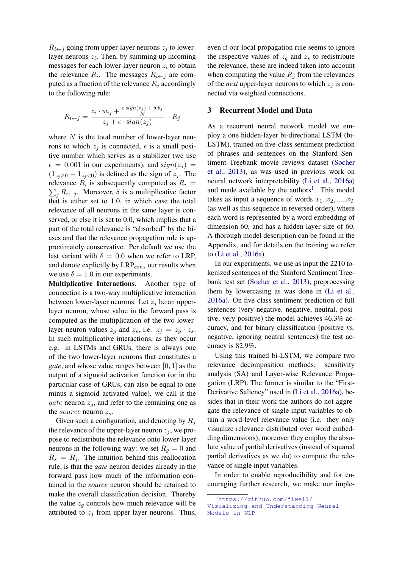$R_{i \leftarrow j}$  going from upper-layer neurons  $z_j$  to lowerlayer neurons  $z_i$ . Then, by summing up incoming messages for each lower-layer neuron  $z_i$  to obtain the relevance  $R_i$ . The messages  $R_{i \leftarrow j}$  are computed as a fraction of the relevance  $R_i$  accordingly to the following rule:

$$
R_{i \leftarrow j} = \frac{z_i \cdot w_{ij} + \frac{\epsilon \cdot sign(z_j) + \delta \cdot b_j}{N}}{z_j + \epsilon \cdot sign(z_j)} \cdot R_j
$$

where  $N$  is the total number of lower-layer neurons to which  $z_i$  is connected,  $\epsilon$  is a small positive number which serves as a stabilizer (we use  $\epsilon = 0.001$  in our experiments), and sign( $z_j$ ) =  $(1_{z_i>0} - 1_{z_i<0})$  is defined as the sign of  $z_j$ . The relevance  $R_i$  is subsequently computed as  $R_i =$  $\sum_j R_{i \leftarrow j}$ . Moreover,  $\delta$  is a multiplicative factor that is either set to 1.0, in which case the total relevance of all neurons in the same layer is conserved, or else it is set to 0.0, which implies that a part of the total relevance is "absorbed" by the biases and that the relevance propagation rule is approximately conservative. Per default we use the last variant with  $\delta = 0.0$  when we refer to LRP, and denote explicitly by  $\text{LRP}_{cons}$  our results when we use  $\delta = 1.0$  in our experiments.

Multiplicative Interactions. Another type of connection is a two-way multiplicative interaction between lower-layer neurons. Let  $z_j$  be an upperlayer neuron, whose value in the forward pass is computed as the multiplication of the two lowerlayer neuron values  $z_q$  and  $z_s$ , i.e.  $z_j = z_q \cdot z_s$ . In such multiplicative interactions, as they occur e.g. in LSTMs and GRUs, there is always one of the two lower-layer neurons that constitutes a *gate*, and whose value ranges between [0, 1] as the output of a sigmoid activation function (or in the particular case of GRUs, can also be equal to one minus a sigmoid activated value), we call it the *gate* neuron  $z_q$ , and refer to the remaining one as the *source* neuron  $z_s$ .

Given such a configuration, and denoting by  $R_i$ the relevance of the upper-layer neuron  $z_i$ , we propose to redistribute the relevance onto lower-layer neurons in the following way: we set  $R<sub>q</sub> = 0$  and  $R_s = R_i$ . The intuition behind this reallocation rule, is that the *gate* neuron decides already in the forward pass how much of the information contained in the *source* neuron should be retained to make the overall classification decision. Thereby the value  $z_g$  controls how much relevance will be attributed to  $z_j$  from upper-layer neurons. Thus,

even if our local propagation rule seems to ignore the respective values of  $z_q$  and  $z_s$  to redistribute the relevance, these are indeed taken into account when computing the value  $R_j$  from the relevances of the *next* upper-layer neurons to which  $z_j$  is connected via weighted connections.

## 3 Recurrent Model and Data

As a recurrent neural network model we employ a one hidden-layer bi-directional LSTM (bi-LSTM), trained on five-class sentiment prediction of phrases and sentences on the Stanford Sentiment Treebank movie reviews dataset [\(Socher](#page-8-2) [et al.,](#page-8-2) [2013\)](#page-8-2), as was used in previous work on neural network interpretability [\(Li et al.,](#page-8-6) [2016a\)](#page-8-6) and made available by the authors<sup>[1](#page-2-0)</sup>. This model takes as input a sequence of words  $x_1, x_2, ..., x_T$ (as well as this sequence in reversed order), where each word is represented by a word embedding of dimension 60, and has a hidden layer size of 60. A thorough model description can be found in the Appendix, and for details on the training we refer to [\(Li et al.,](#page-8-6) [2016a\)](#page-8-6).

In our experiments, we use as input the 2210 tokenized sentences of the Stanford Sentiment Treebank test set [\(Socher et al.,](#page-8-2) [2013\)](#page-8-2), preprocessing them by lowercasing as was done in [\(Li et al.,](#page-8-6) [2016a\)](#page-8-6). On five-class sentiment prediction of full sentences (very negative, negative, neutral, positive, very positive) the model achieves 46.3% accuracy, and for binary classification (positive vs. negative, ignoring neutral sentences) the test accuracy is 82.9%.

Using this trained bi-LSTM, we compare two relevance decomposition methods: sensitivity analysis (SA) and Layer-wise Relevance Propagation (LRP). The former is similar to the "First-Derivative Saliency" used in [\(Li et al.,](#page-8-6) [2016a\)](#page-8-6), besides that in their work the authors do not aggregate the relevance of single input variables to obtain a word-level relevance value (i.e. they only visualize relevance distributed over word embedding dimensions); moreover they employ the absolute value of partial derivatives (instead of squared partial derivatives as we do) to compute the relevance of single input variables.

In order to enable reproducibility and for encouraging further research, we make our imple-

<span id="page-2-0"></span><sup>1</sup>[https://github.com/jiweil/](https://github.com/jiweil/Visualizing-and-Understanding-Neural-Models-in-NLP)

[Visualizing-and-Understanding-Neural-](https://github.com/jiweil/Visualizing-and-Understanding-Neural-Models-in-NLP)[Models-in-NLP](https://github.com/jiweil/Visualizing-and-Understanding-Neural-Models-in-NLP)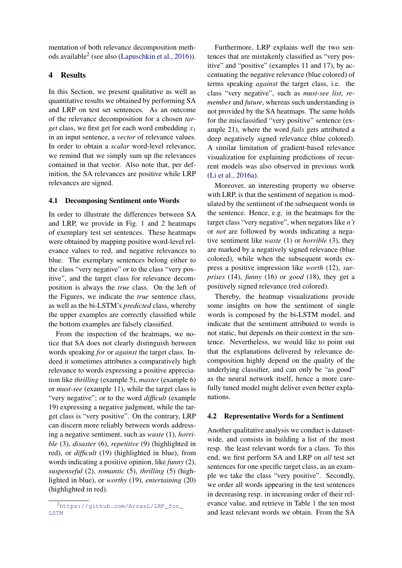mentation of both relevance decomposition meth-ods available<sup>[2](#page-3-0)</sup> (see also [\(Lapuschkin et al.,](#page-7-9) [2016\)](#page-7-9)).

# 4 Results

In this Section, we present qualitative as well as quantitative results we obtained by performing SA and LRP on test set sentences. As an outcome of the relevance decomposition for a chosen *target* class, we first get for each word embedding  $x_t$ in an input sentence, a *vector* of relevance values. In order to obtain a *scalar* word-level relevance, we remind that we simply sum up the relevances contained in that vector. Also note that, per definition, the SA relevances are positive while LRP relevances are signed.

## 4.1 Decomposing Sentiment onto Words

In order to illustrate the differences between SA and LRP, we provide in Fig. [1](#page-4-0) and [2](#page-4-1) heatmaps of exemplary test set sentences. These heatmaps were obtained by mapping positive word-level relevance values to red, and negative relevances to blue. The exemplary sentences belong either to the class "very negative" or to the class "very positive", and the target class for relevance decomposition is always the *true* class. On the left of the Figures, we indicate the *true* sentence class, as well as the bi-LSTM's *predicted* class, whereby the upper examples are correctly classified while the bottom examples are falsely classified.

From the inspection of the heatmaps, we notice that SA does not clearly distinguish between words speaking *for* or *against* the target class. Indeed it sometimes attributes a comparatively high relevance to words expressing a positive appreciation like *thrilling* (example 5), *master* (example 6) or *must-see* (example 11), while the target class is "very negative"; or to the word *difficult* (example 19) expressing a negative judgment, while the target class is "very positive". On the contrary, LRP can discern more reliably between words addressing a negative sentiment, such as *waste* (1), *horrible* (3), *disaster* (6), *repetitive* (9) (highlighted in red), or *difficult* (19) (highlighted in blue), from words indicating a positive opinion, like *funny* (2), *suspenseful* (2), *romantic* (5), *thrilling* (5) (highlighted in blue), or *worthy* (19), *entertaining* (20) (highlighted in red).

Furthermore, LRP explains well the two sentences that are mistakenly classified as "very positive" and "positive" (examples 11 and 17), by accentuating the negative relevance (blue colored) of terms speaking *against* the target class, i.e. the class "very negative", such as *must-see list*, *remember* and *future*, whereas such understanding is not provided by the SA heatmaps. The same holds for the misclassified "very positive" sentence (example 21), where the word *fails* gets attributed a deep negatively signed relevance (blue colored). A similar limitation of gradient-based relevance visualization for explaining predictions of recurrent models was also observed in previous work [\(Li et al.,](#page-8-6) [2016a\)](#page-8-6).

Moreover, an interesting property we observe with LRP, is that the sentiment of negation is modulated by the sentiment of the subsequent words in the sentence. Hence, e.g. in the heatmaps for the target class "very negative", when negators like *n't* or *not* are followed by words indicating a negative sentiment like *waste* (1) or *horrible* (3), they are marked by a negatively signed relevance (blue colored), while when the subsequent words express a positive impression like *worth* (12), *surprises* (14), *funny* (16) or *good* (18), they get a positively signed relevance (red colored).

Thereby, the heatmap visualizations provide some insights on how the sentiment of single words is composed by the bi-LSTM model, and indicate that the sentiment attributed to words is not static, but depends on their context in the sentence. Nevertheless, we would like to point out that the explanations delivered by relevance decomposition highly depend on the quality of the underlying classifier, and can only be "as good" as the neural network itself, hence a more carefully tuned model might deliver even better explanations.

#### 4.2 Representative Words for a Sentiment

Another qualitative analysis we conduct is datasetwide, and consists in building a list of the most resp. the least relevant words for a class. To this end, we first perform SA and LRP on *all* test set sentences for one specific target class, as an example we take the class "very positive". Secondly, we order all words appearing in the test sentences in decreasing resp. in increasing order of their relevance value, and retrieve in Table [1](#page-5-0) the ten most and least relevant words we obtain. From the SA

<span id="page-3-0"></span><sup>2</sup>[https://github.com/ArrasL/LRP\\_for\\_](https://github.com/ArrasL/LRP_for_LSTM) [LSTM](https://github.com/ArrasL/LRP_for_LSTM)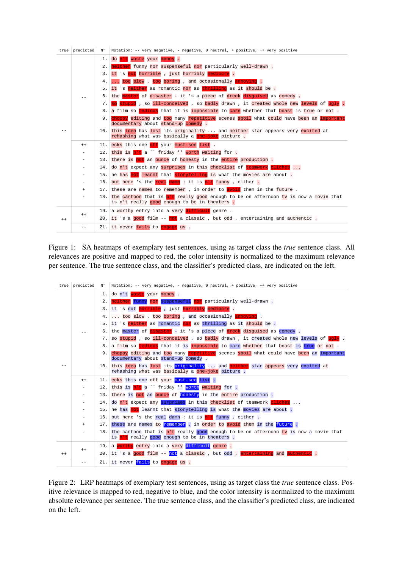|         | $true$   predicted | N°  | Notation: -- very negative, - negative, 0 neutral, + positive, ++ very positive                                                  |  |  |  |
|---------|--------------------|-----|----------------------------------------------------------------------------------------------------------------------------------|--|--|--|
|         | $ -$               | 1.  | do n't waste your money.                                                                                                         |  |  |  |
|         |                    | 2.  | neither funny nor suspenseful nor particularly well-drawn.                                                                       |  |  |  |
|         |                    | 3.  | it 's not horrible, just horribly mediocre.                                                                                      |  |  |  |
|         |                    | 4.  | too slow, too boring, and occasionally annoying.                                                                                 |  |  |  |
|         |                    | 5.  | it 's neither as romantic nor as thrilling as it should be.                                                                      |  |  |  |
|         |                    | 6.  | the master of disaster - it 's a piece of dreck disquised as comedy.                                                             |  |  |  |
|         |                    | 7.  | so stupid, so ill-conceived, so badly drawn, it created whole new levels of ugly.                                                |  |  |  |
|         |                    | 8.  | a film so tedious that it is impossible to care whether that boast is true or not.                                               |  |  |  |
|         |                    | 9.  | choppy editing and too many repetitive scenes spoil what could have been an important<br>documentary about stand-up comedy.      |  |  |  |
|         |                    | 10. | this idea has lost its originality  and neither star appears very excited at<br>rehashing what was basically a one-joke picture. |  |  |  |
|         | $^{++}$            | 11. | ecks this one off your must-see list.                                                                                            |  |  |  |
|         | ۰                  | 12. | this is n't a `` friday '' worth waiting for .                                                                                   |  |  |  |
|         |                    | 13. | there is not an ounce of honesty in the entire production.                                                                       |  |  |  |
|         |                    | 14. | do n't expect any surprises in this checklist of teamwork cliches                                                                |  |  |  |
|         |                    | 15. | he has not learnt that storytelling is what the movies are about.                                                                |  |  |  |
|         |                    | 16. | but here 's the real damn : it is n't funny, either.                                                                             |  |  |  |
|         | $\ddot{}$          | 17. | these are names to remember, in order to avoid them in the future.                                                               |  |  |  |
|         |                    | 18. | the cartoon that is n't really good enough to be on afternoon ty is now a movie that                                             |  |  |  |
|         |                    |     | is n't really good enough to be in theaters.                                                                                     |  |  |  |
| $^{++}$ | $^{++}$            | 19. | a worthy entry into a very difficult genre.                                                                                      |  |  |  |
|         |                    | 20. | it 's a good film -- not a classic, but odd, entertaining and authentic.                                                         |  |  |  |
|         | - -                | 21. | it never fails to engage us.                                                                                                     |  |  |  |

<span id="page-4-0"></span>Figure 1: SA heatmaps of exemplary test sentences, using as target class the *true* sentence class. All relevances are positive and mapped to red, the color intensity is normalized to the maximum relevance per sentence. The true sentence class, and the classifier's predicted class, are indicated on the left.

| true l  | predicted | N°   | Notation: -- very negative, - negative, 0 neutral, + positive, ++ very positive                                                  |  |  |
|---------|-----------|------|----------------------------------------------------------------------------------------------------------------------------------|--|--|
|         |           | 1.   | do n't waste your money.                                                                                                         |  |  |
|         |           | 2.   | neither funny nor suspenseful nor particularly well-drawn.                                                                       |  |  |
|         |           | 3.   | it 's not horrible, just horribly mediocre.                                                                                      |  |  |
|         |           | 4.   | too slow, too boring, and occasionally annoying.                                                                                 |  |  |
|         |           | 5.   | it 's <i>heither</i> as romantic nor as thrilling as it should be.                                                               |  |  |
|         |           | 6.   | the master of disaster - it 's a piece of dreck disquised as comedy.                                                             |  |  |
|         |           | 7.   | so stupid, so ill-conceived, so badly drawn, it created whole new levels of ugly.                                                |  |  |
|         |           | 8.   | a film so tedious that it is impossible to care whether that boast is true or not.                                               |  |  |
|         |           | 9.   | choppy editing and too many repetitive scenes spoil what could have been an important<br>documentary about stand-up comedy.      |  |  |
|         |           | 10.  | this idea has lost its originality  and neither star appears very excited at<br>rehashing what was basically a one-joke picture. |  |  |
|         | $^{++}$   | 11.  | ecks this one off your must-see list.                                                                                            |  |  |
|         | ۰         | 12.  | this is $n't a$ friday $\cdot$ worth waiting for.                                                                                |  |  |
|         |           | 13.  | there is not an ounce of honesty in the entire production.                                                                       |  |  |
|         |           | 14.1 | do n't expect any surprises in this checklist of teamwork cliches                                                                |  |  |
|         |           | 15.  | he has not learnt that storytelling is what the movies are about.                                                                |  |  |
|         |           | 16.  | but here 's the real damn : it is n't funny, either.                                                                             |  |  |
|         | $+$       | 17.  | these are names to remember, in order to avoid them in the future.                                                               |  |  |
|         |           | 18.  | the cartoon that is n't really good enough to be on afternoon ty is now a movie that                                             |  |  |
|         |           |      | is n't really good enough to be in theaters.                                                                                     |  |  |
| $^{++}$ | $^{++}$   | 19.  | a <mark>worthy</mark> entry into a very difficult genre.                                                                         |  |  |
|         |           | 20.  | it 's a good film -- not a classic, but odd, entertaining and authentic.                                                         |  |  |
|         | - -       | 21.  | it never fails to engage us.                                                                                                     |  |  |

<span id="page-4-1"></span>Figure 2: LRP heatmaps of exemplary test sentences, using as target class the *true* sentence class. Positive relevance is mapped to red, negative to blue, and the color intensity is normalized to the maximum absolute relevance per sentence. The true sentence class, and the classifier's predicted class, are indicated on the left.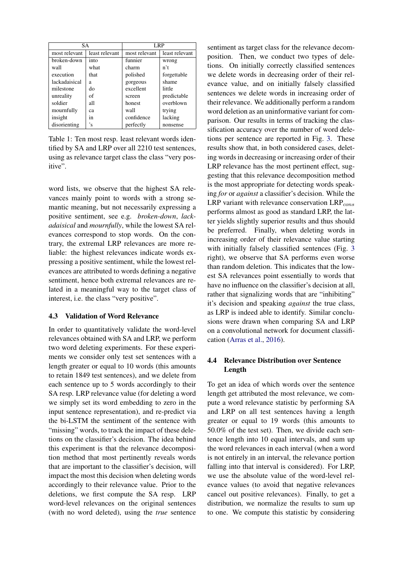| <b>SA</b>     |                | LRP           |                |
|---------------|----------------|---------------|----------------|
| most relevant | least relevant | most relevant | least relevant |
| broken-down   | into           | funnier       | wrong          |
| wall          | what           | charm         | n't            |
| execution     | that           | polished      | forgettable    |
| lackadaisical | a              | gorgeous      | shame          |
| milestone     | do             | excellent     | little         |
| unreality     | of             | screen        | predictable    |
| soldier       | all            | honest        | overblown      |
| mournfully    | ca             | wall          | trying         |
| insight       | 1n             | confidence    | lacking        |
| disorienting  | 's             | perfectly     | nonsense       |

<span id="page-5-0"></span>Table 1: Ten most resp. least relevant words identified by SA and LRP over all 2210 test sentences, using as relevance target class the class "very positive".

word lists, we observe that the highest SA relevances mainly point to words with a strong semantic meaning, but not necessarily expressing a positive sentiment, see e.g. *broken-down*, *lackadaisical* and *mournfully*, while the lowest SA relevances correspond to stop words. On the contrary, the extremal LRP relevances are more reliable: the highest relevances indicate words expressing a positive sentiment, while the lowest relevances are attributed to words defining a negative sentiment, hence both extremal relevances are related in a meaningful way to the target class of interest, i.e. the class "very positive".

#### 4.3 Validation of Word Relevance

In order to quantitatively validate the word-level relevances obtained with SA and LRP, we perform two word deleting experiments. For these experiments we consider only test set sentences with a length greater or equal to 10 words (this amounts to retain 1849 test sentences), and we delete from each sentence up to 5 words accordingly to their SA resp. LRP relevance value (for deleting a word we simply set its word embedding to zero in the input sentence representation), and re-predict via the bi-LSTM the sentiment of the sentence with "missing" words, to track the impact of these deletions on the classifier's decision. The idea behind this experiment is that the relevance decomposition method that most pertinently reveals words that are important to the classifier's decision, will impact the most this decision when deleting words accordingly to their relevance value. Prior to the deletions, we first compute the SA resp. LRP word-level relevances on the original sentences (with no word deleted), using the *true* sentence sentiment as target class for the relevance decomposition. Then, we conduct two types of deletions. On initially correctly classified sentences we delete words in decreasing order of their relevance value, and on initially falsely classified sentences we delete words in increasing order of their relevance. We additionally perform a random word deletion as an uninformative variant for comparison. Our results in terms of tracking the classification accuracy over the number of word deletions per sentence are reported in Fig. [3.](#page-6-0) These results show that, in both considered cases, deleting words in decreasing or increasing order of their LRP relevance has the most pertinent effect, suggesting that this relevance decomposition method is the most appropriate for detecting words speaking *for* or *against* a classifier's decision. While the LRP variant with relevance conservation  $\text{LRP}_{cons}$ performs almost as good as standard LRP, the latter yields slightly superior results and thus should be preferred. Finally, when deleting words in increasing order of their relevance value starting with initially falsely classified sentences (Fig. [3](#page-6-0) right), we observe that SA performs even worse than random deletion. This indicates that the lowest SA relevances point essentially to words that have no influence on the classifier's decision at all, rather that signalizing words that are "inhibiting" it's decision and speaking *against* the true class, as LRP is indeed able to identify. Similar conclusions were drawn when comparing SA and LRP on a convolutional network for document classification [\(Arras et al.,](#page-7-2) [2016\)](#page-7-2).

## 4.4 Relevance Distribution over Sentence Length

To get an idea of which words over the sentence length get attributed the most relevance, we compute a word relevance statistic by performing SA and LRP on all test sentences having a length greater or equal to 19 words (this amounts to 50.0% of the test set). Then, we divide each sentence length into 10 equal intervals, and sum up the word relevances in each interval (when a word is not entirely in an interval, the relevance portion falling into that interval is considered). For LRP, we use the absolute value of the word-level relevance values (to avoid that negative relevances cancel out positive relevances). Finally, to get a distribution, we normalize the results to sum up to one. We compute this statistic by considering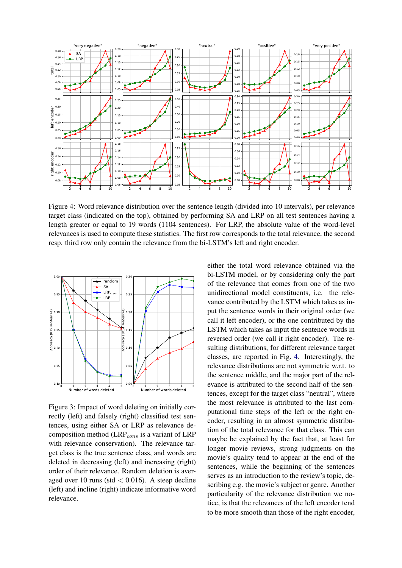

<span id="page-6-1"></span>Figure 4: Word relevance distribution over the sentence length (divided into 10 intervals), per relevance target class (indicated on the top), obtained by performing SA and LRP on all test sentences having a length greater or equal to 19 words (1104 sentences). For LRP, the absolute value of the word-level relevances is used to compute these statistics. The first row corresponds to the total relevance, the second resp. third row only contain the relevance from the bi-LSTM's left and right encoder.



<span id="page-6-0"></span>Figure 3: Impact of word deleting on initially correctly (left) and falsely (right) classified test sentences, using either SA or LRP as relevance decomposition method ( $LRP_{cons}$  is a variant of  $LRP$ with relevance conservation). The relevance target class is the true sentence class, and words are deleted in decreasing (left) and increasing (right) order of their relevance. Random deletion is averaged over 10 runs (std  $< 0.016$ ). A steep decline (left) and incline (right) indicate informative word relevance.

either the total word relevance obtained via the bi-LSTM model, or by considering only the part of the relevance that comes from one of the two unidirectional model constituents, i.e. the relevance contributed by the LSTM which takes as input the sentence words in their original order (we call it left encoder), or the one contributed by the LSTM which takes as input the sentence words in reversed order (we call it right encoder). The resulting distributions, for different relevance target classes, are reported in Fig. [4.](#page-6-1) Interestingly, the relevance distributions are not symmetric w.r.t. to the sentence middle, and the major part of the relevance is attributed to the second half of the sentences, except for the target class "neutral", where the most relevance is attributed to the last computational time steps of the left or the right encoder, resulting in an almost symmetric distribution of the total relevance for that class. This can maybe be explained by the fact that, at least for longer movie reviews, strong judgments on the movie's quality tend to appear at the end of the sentences, while the beginning of the sentences serves as an introduction to the review's topic, describing e.g. the movie's subject or genre. Another particularity of the relevance distribution we notice, is that the relevances of the left encoder tend to be more smooth than those of the right encoder,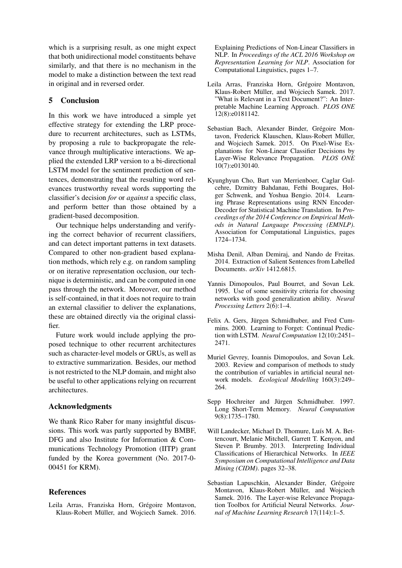which is a surprising result, as one might expect that both unidirectional model constituents behave similarly, and that there is no mechanism in the model to make a distinction between the text read in original and in reversed order.

# 5 Conclusion

In this work we have introduced a simple yet effective strategy for extending the LRP procedure to recurrent architectures, such as LSTMs, by proposing a rule to backpropagate the relevance through multiplicative interactions. We applied the extended LRP version to a bi-directional LSTM model for the sentiment prediction of sentences, demonstrating that the resulting word relevances trustworthy reveal words supporting the classifier's decision *for* or *against* a specific class, and perform better than those obtained by a gradient-based decomposition.

Our technique helps understanding and verifying the correct behavior of recurrent classifiers, and can detect important patterns in text datasets. Compared to other non-gradient based explanation methods, which rely e.g. on random sampling or on iterative representation occlusion, our technique is deterministic, and can be computed in one pass through the network. Moreover, our method is self-contained, in that it does not require to train an external classifier to deliver the explanations, these are obtained directly via the original classifier.

Future work would include applying the proposed technique to other recurrent architectures such as character-level models or GRUs, as well as to extractive summarization. Besides, our method is not restricted to the NLP domain, and might also be useful to other applications relying on recurrent architectures.

## Acknowledgments

We thank Rico Raber for many insightful discussions. This work was partly supported by BMBF, DFG and also Institute for Information & Communications Technology Promotion (IITP) grant funded by the Korea government (No. 2017-0- 00451 for KRM).

## References

<span id="page-7-2"></span>Leila Arras, Franziska Horn, Grégoire Montavon, Klaus-Robert Müller, and Wojciech Samek. 2016. Explaining Predictions of Non-Linear Classifiers in NLP. In *Proceedings of the ACL 2016 Workshop on Representation Learning for NLP*. Association for Computational Linguistics, pages 1–7.

- <span id="page-7-4"></span>Leila Arras, Franziska Horn, Grégoire Montavon, Klaus-Robert Müller, and Wojciech Samek. 2017. "What is Relevant in a Text Document?": An Interpretable Machine Learning Approach. *PLOS ONE* 12(8):e0181142.
- <span id="page-7-0"></span>Sebastian Bach, Alexander Binder, Grégoire Montavon, Frederick Klauschen, Klaus-Robert Müller, and Wojciech Samek. 2015. On Pixel-Wise Explanations for Non-Linear Classifier Decisions by Layer-Wise Relevance Propagation. *PLOS ONE* 10(7):e0130140.
- <span id="page-7-8"></span>Kyunghyun Cho, Bart van Merrienboer, Caglar Gulcehre, Dzmitry Bahdanau, Fethi Bougares, Holger Schwenk, and Yoshua Bengio. 2014. Learning Phrase Representations using RNN Encoder-Decoder for Statistical Machine Translation. In *Proceedings of the 2014 Conference on Empirical Methods in Natural Language Processing (EMNLP)*. Association for Computational Linguistics, pages 1724–1734.
- <span id="page-7-1"></span>Misha Denil, Alban Demiraj, and Nando de Freitas. 2014. Extraction of Salient Sentences from Labelled Documents. *arXiv* 1412.6815.
- <span id="page-7-5"></span>Yannis Dimopoulos, Paul Bourret, and Sovan Lek. 1995. Use of some sensitivity criteria for choosing networks with good generalization ability. *Neural Processing Letters* 2(6):1–4.
- <span id="page-7-10"></span>Felix A. Gers, Jürgen Schmidhuber, and Fred Cummins. 2000. Learning to Forget: Continual Prediction with LSTM. *Neural Computation* 12(10):2451– 2471.
- <span id="page-7-6"></span>Muriel Gevrey, Ioannis Dimopoulos, and Sovan Lek. 2003. Review and comparison of methods to study the contribution of variables in artificial neural network models. *Ecological Modelling* 160(3):249– 264.
- <span id="page-7-7"></span>Sepp Hochreiter and Jürgen Schmidhuber. 1997. Long Short-Term Memory. *Neural Computation* 9(8):1735–1780.
- <span id="page-7-3"></span>Will Landecker, Michael D. Thomure, Luís M. A. Bettencourt, Melanie Mitchell, Garrett T. Kenyon, and Steven P. Brumby. 2013. Interpreting Individual Classifications of Hierarchical Networks. In *IEEE Symposium on Computational Intelligence and Data Mining (CIDM)*. pages 32–38.
- <span id="page-7-9"></span>Sebastian Lapuschkin, Alexander Binder, Grégoire Montavon, Klaus-Robert Müller, and Wojciech Samek. 2016. The Layer-wise Relevance Propagation Toolbox for Artificial Neural Networks. *Journal of Machine Learning Research* 17(114):1–5.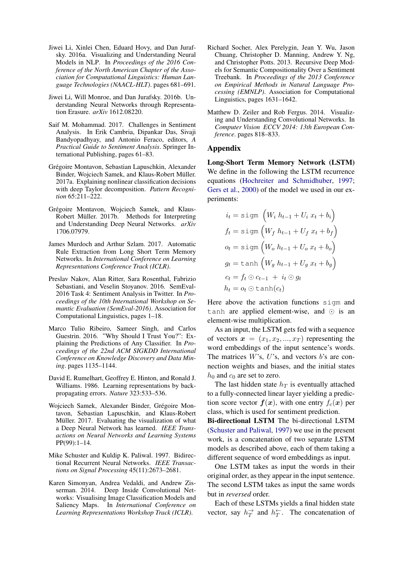- <span id="page-8-6"></span>Jiwei Li, Xinlei Chen, Eduard Hovy, and Dan Jurafsky. 2016a. Visualizing and Understanding Neural Models in NLP. In *Proceedings of the 2016 Conference of the North American Chapter of the Association for Computational Linguistics: Human Language Technologies (NAACL-HLT)*. pages 681–691.
- <span id="page-8-7"></span>Jiwei Li, Will Monroe, and Dan Jurafsky. 2016b. Understanding Neural Networks through Representation Erasure. *arXiv* 1612.08220.
- <span id="page-8-0"></span>Saif M. Mohammad. 2017. Challenges in Sentiment Analysis. In Erik Cambria, Dipankar Das, Sivaji Bandyopadhyay, and Antonio Feraco, editors, *A Practical Guide to Sentiment Analysis*. Springer International Publishing, pages 61–83.
- <span id="page-8-9"></span>Grégoire Montavon, Sebastian Lapuschkin, Alexander Binder, Wojciech Samek, and Klaus-Robert Müller. 2017a. Explaining nonlinear classification decisions with deep Taylor decomposition. *Pattern Recognition* 65:211–222.
- <span id="page-8-10"></span>Grégoire Montavon, Wojciech Samek, and Klaus-Robert Müller. 2017b. Methods for Interpreting and Understanding Deep Neural Networks. *arXiv* 1706.07979.
- <span id="page-8-8"></span>James Murdoch and Arthur Szlam. 2017. Automatic Rule Extraction from Long Short Term Memory Networks. In *International Conference on Learning Representations Conference Track (ICLR)*.
- <span id="page-8-1"></span>Preslav Nakov, Alan Ritter, Sara Rosenthal, Fabrizio Sebastiani, and Veselin Stoyanov. 2016. SemEval-2016 Task 4: Sentiment Analysis in Twitter. In *Proceedings of the 10th International Workshop on Semantic Evaluation (SemEval-2016)*. Association for Computational Linguistics, pages 1–18.
- <span id="page-8-5"></span>Marco Tulio Ribeiro, Sameer Singh, and Carlos Guestrin. 2016. "Why Should I Trust You?": Explaining the Predictions of Any Classifier. In *Proceedings of the 22nd ACM SIGKDD International Conference on Knowledge Discovery and Data Mining*. pages 1135–1144.
- <span id="page-8-12"></span>David E. Rumelhart, Geoffrey E. Hinton, and Ronald J. Williams. 1986. Learning representations by backpropagating errors. *Nature* 323:533–536.
- <span id="page-8-11"></span>Wojciech Samek, Alexander Binder, Grégoire Montavon, Sebastian Lapuschkin, and Klaus-Robert Müller. 2017. Evaluating the visualization of what a Deep Neural Network has learned. *IEEE Transactions on Neural Networks and Learning Systems* PP(99):1–14.
- <span id="page-8-13"></span>Mike Schuster and Kuldip K. Paliwal. 1997. Bidirectional Recurrent Neural Networks. *IEEE Transactions on Signal Processing* 45(11):2673–2681.
- <span id="page-8-3"></span>Karen Simonyan, Andrea Vedaldi, and Andrew Zisserman. 2014. Deep Inside Convolutional Networks: Visualising Image Classification Models and Saliency Maps. In *International Conference on Learning Representations Workshop Track (ICLR)*.
- <span id="page-8-2"></span>Richard Socher, Alex Perelygin, Jean Y. Wu, Jason Chuang, Christopher D. Manning, Andrew Y. Ng, and Christopher Potts. 2013. Recursive Deep Models for Semantic Compositionality Over a Sentiment Treebank. In *Proceedings of the 2013 Conference on Empirical Methods in Natural Language Processing (EMNLP)*. Association for Computational Linguistics, pages 1631–1642.
- <span id="page-8-4"></span>Matthew D. Zeiler and Rob Fergus. 2014. Visualizing and Understanding Convolutional Networks. In *Computer Vision ECCV 2014: 13th European Conference*. pages 818–833.

#### Appendix

Long-Short Term Memory Network (LSTM) We define in the following the LSTM recurrence equations [\(Hochreiter and Schmidhuber,](#page-7-7) [1997;](#page-7-7) [Gers et al.,](#page-7-10) [2000\)](#page-7-10) of the model we used in our experiments:

$$
i_t = \text{sign}\left(W_i h_{t-1} + U_i x_t + b_i\right)
$$
  
\n
$$
f_t = \text{sign}\left(W_f h_{t-1} + U_f x_t + b_f\right)
$$
  
\n
$$
o_t = \text{sign}\left(W_o h_{t-1} + U_o x_t + b_o\right)
$$
  
\n
$$
g_t = \text{tanh}\left(W_g h_{t-1} + U_g x_t + b_g\right)
$$
  
\n
$$
c_t = f_t \odot c_{t-1} + i_t \odot g_t
$$
  
\n
$$
h_t = o_t \odot \text{tanh}(c_t)
$$

Here above the activation functions sigm and tanh are applied element-wise, and  $\odot$  is an element-wise multiplication.

As an input, the LSTM gets fed with a sequence of vectors  $x = (x_1, x_2, ..., x_T)$  representing the word embeddings of the input sentence's words. The matrices  $W$ 's,  $U$ 's, and vectors  $b$ 's are connection weights and biases, and the initial states  $h_0$  and  $c_0$  are set to zero.

The last hidden state  $h_T$  is eventually attached to a fully-connected linear layer yielding a prediction score vector  $f(x)$ , with one entry  $f_c(x)$  per class, which is used for sentiment prediction.

Bi-directional LSTM The bi-directional LSTM [\(Schuster and Paliwal,](#page-8-13) [1997\)](#page-8-13) we use in the present work, is a concatenation of two separate LSTM models as described above, each of them taking a different sequence of word embeddings as input.

One LSTM takes as input the words in their original order, as they appear in the input sentence. The second LSTM takes as input the same words but in *reversed* order.

Each of these LSTMs yields a final hidden state vector, say  $h_T^{\rightarrow}$  and  $h_T^{\leftarrow}$ . The concatenation of